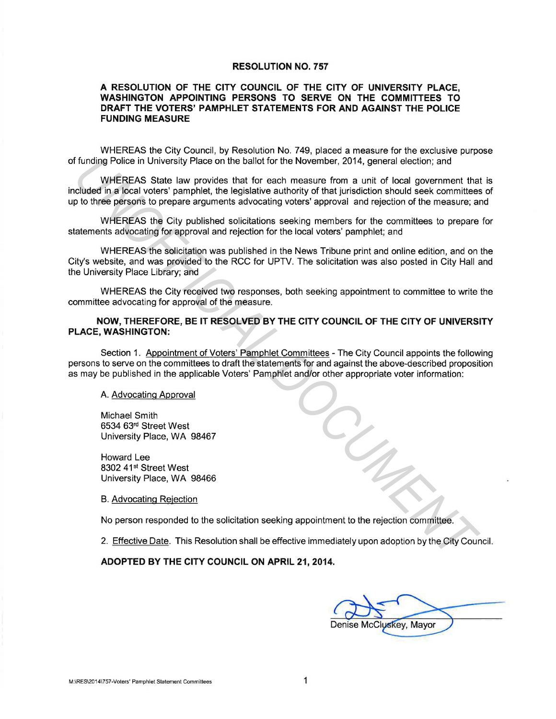### **RESOLUTION NO. 757**

## **A RESOLUTION OF THE CITY COUNCIL OF THE CITY OF UNIVERSITY PLACE, WASHINGTON APPOINTING PERSONS TO SERVE ON THE COMMITTEES TO DRAFT THE VOTERS' PAMPHLET STATEMENTS FOR AND AGAINST THE POLICE FUNDING MEASURE**

WHEREAS the City Council, by Resolution No. 749, placed a measure for the exclusive purpose of funding Police in University Place on the ballot for the November, 2014, general election; and

WHEREAS State law provides that for each measure from a unit of local government that is included in a local voters' pamphlet, the legislative authority of that jurisdiction should seek committees of up to three persons to prepare arguments advocating voters' approval and rejection of the measure; and Funding Police in University Place on the ballot for the November, 2014, general election; and<br>
WHEREAS State law provides that for each measure from a unit of local government<br>
Lichted in a local others' pamphlet, the leg

WHEREAS the City published solicitations seeking members for the committees to prepare for statements advocating for approval and rejection for the local voters' pamphlet; and

WHEREAS the solicitation was published in the News Tribune print and online edition, and on the City's website, and was provided to the RCC for UPTV. The solicitation was also posted in City Hall and the University Place Library; and

WHEREAS the City received two responses, both seeking appointment to committee to write the committee advocating for approval of the measure.

# **NOW, THEREFORE, BE IT RESOLVED BY THE CITY COUNCIL OF THE CITY OF UNIVERSITY PLACE, WASHINGTON:**

Section 1. Appointment of Voters' Pamphlet Committees - The City Council appoints the following persons to serve on the committees to draft the statements for and against the above-described proposition as may be published in the applicable Voters' Pamphlet and/or other appropriate voter information:

## A. Advocating Approval

Michael Smith 6534 63rd Street West University Place, WA 98467

Howard Lee 8302 41<sup>st</sup> Street West University Place, WA 98466

B. Advocating Rejection

No person responded to the solicitation seeking appointment to the rejection committee.

2. Effective Date. This Resolution shall be effective immediately upon adoption by the City Council.

#### **ADOPTED BY THE CITY COUNCIL ON APRIL 21, 2014.**

Denise McCluskey, Mayor